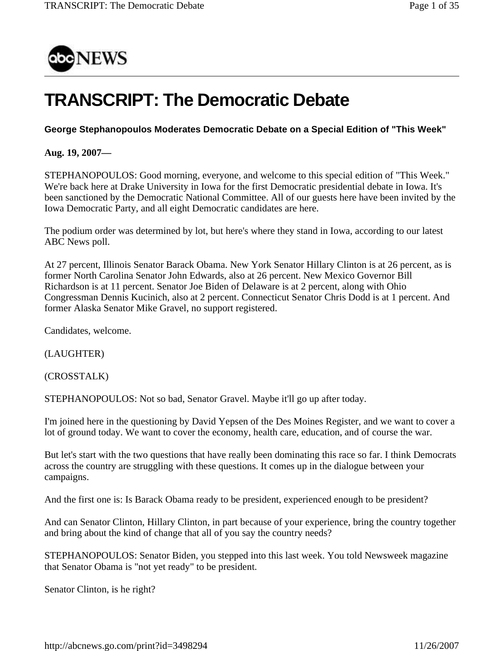

# **TRANSCRIPT: The Democratic Debate**

### **George Stephanopoulos Moderates Democratic Debate on a Special Edition of "This Week"**

**Aug. 19, 2007—**

STEPHANOPOULOS: Good morning, everyone, and welcome to this special edition of "This Week." We're back here at Drake University in Iowa for the first Democratic presidential debate in Iowa. It's been sanctioned by the Democratic National Committee. All of our guests here have been invited by the Iowa Democratic Party, and all eight Democratic candidates are here.

The podium order was determined by lot, but here's where they stand in Iowa, according to our latest ABC News poll.

At 27 percent, Illinois Senator Barack Obama. New York Senator Hillary Clinton is at 26 percent, as is former North Carolina Senator John Edwards, also at 26 percent. New Mexico Governor Bill Richardson is at 11 percent. Senator Joe Biden of Delaware is at 2 percent, along with Ohio Congressman Dennis Kucinich, also at 2 percent. Connecticut Senator Chris Dodd is at 1 percent. And former Alaska Senator Mike Gravel, no support registered.

Candidates, welcome.

(LAUGHTER)

(CROSSTALK)

STEPHANOPOULOS: Not so bad, Senator Gravel. Maybe it'll go up after today.

I'm joined here in the questioning by David Yepsen of the Des Moines Register, and we want to cover a lot of ground today. We want to cover the economy, health care, education, and of course the war.

But let's start with the two questions that have really been dominating this race so far. I think Democrats across the country are struggling with these questions. It comes up in the dialogue between your campaigns.

And the first one is: Is Barack Obama ready to be president, experienced enough to be president?

And can Senator Clinton, Hillary Clinton, in part because of your experience, bring the country together and bring about the kind of change that all of you say the country needs?

STEPHANOPOULOS: Senator Biden, you stepped into this last week. You told Newsweek magazine that Senator Obama is "not yet ready" to be president.

Senator Clinton, is he right?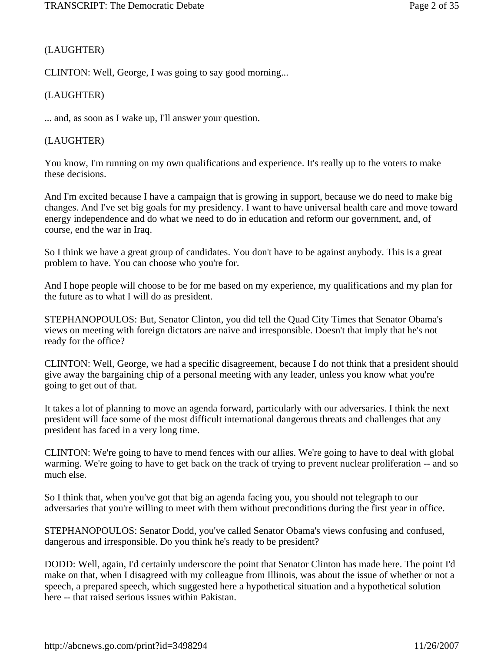# (LAUGHTER)

CLINTON: Well, George, I was going to say good morning...

# (LAUGHTER)

... and, as soon as I wake up, I'll answer your question.

# (LAUGHTER)

You know, I'm running on my own qualifications and experience. It's really up to the voters to make these decisions.

And I'm excited because I have a campaign that is growing in support, because we do need to make big changes. And I've set big goals for my presidency. I want to have universal health care and move toward energy independence and do what we need to do in education and reform our government, and, of course, end the war in Iraq.

So I think we have a great group of candidates. You don't have to be against anybody. This is a great problem to have. You can choose who you're for.

And I hope people will choose to be for me based on my experience, my qualifications and my plan for the future as to what I will do as president.

STEPHANOPOULOS: But, Senator Clinton, you did tell the Quad City Times that Senator Obama's views on meeting with foreign dictators are naive and irresponsible. Doesn't that imply that he's not ready for the office?

CLINTON: Well, George, we had a specific disagreement, because I do not think that a president should give away the bargaining chip of a personal meeting with any leader, unless you know what you're going to get out of that.

It takes a lot of planning to move an agenda forward, particularly with our adversaries. I think the next president will face some of the most difficult international dangerous threats and challenges that any president has faced in a very long time.

CLINTON: We're going to have to mend fences with our allies. We're going to have to deal with global warming. We're going to have to get back on the track of trying to prevent nuclear proliferation -- and so much else.

So I think that, when you've got that big an agenda facing you, you should not telegraph to our adversaries that you're willing to meet with them without preconditions during the first year in office.

STEPHANOPOULOS: Senator Dodd, you've called Senator Obama's views confusing and confused, dangerous and irresponsible. Do you think he's ready to be president?

DODD: Well, again, I'd certainly underscore the point that Senator Clinton has made here. The point I'd make on that, when I disagreed with my colleague from Illinois, was about the issue of whether or not a speech, a prepared speech, which suggested here a hypothetical situation and a hypothetical solution here -- that raised serious issues within Pakistan.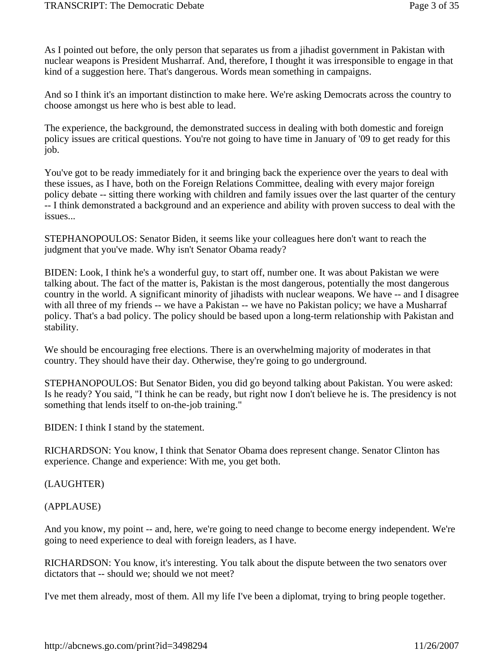As I pointed out before, the only person that separates us from a jihadist government in Pakistan with nuclear weapons is President Musharraf. And, therefore, I thought it was irresponsible to engage in that kind of a suggestion here. That's dangerous. Words mean something in campaigns.

And so I think it's an important distinction to make here. We're asking Democrats across the country to choose amongst us here who is best able to lead.

The experience, the background, the demonstrated success in dealing with both domestic and foreign policy issues are critical questions. You're not going to have time in January of '09 to get ready for this job.

You've got to be ready immediately for it and bringing back the experience over the years to deal with these issues, as I have, both on the Foreign Relations Committee, dealing with every major foreign policy debate -- sitting there working with children and family issues over the last quarter of the century -- I think demonstrated a background and an experience and ability with proven success to deal with the issues...

STEPHANOPOULOS: Senator Biden, it seems like your colleagues here don't want to reach the judgment that you've made. Why isn't Senator Obama ready?

BIDEN: Look, I think he's a wonderful guy, to start off, number one. It was about Pakistan we were talking about. The fact of the matter is, Pakistan is the most dangerous, potentially the most dangerous country in the world. A significant minority of jihadists with nuclear weapons. We have -- and I disagree with all three of my friends -- we have a Pakistan -- we have no Pakistan policy; we have a Musharraf policy. That's a bad policy. The policy should be based upon a long-term relationship with Pakistan and stability.

We should be encouraging free elections. There is an overwhelming majority of moderates in that country. They should have their day. Otherwise, they're going to go underground.

STEPHANOPOULOS: But Senator Biden, you did go beyond talking about Pakistan. You were asked: Is he ready? You said, "I think he can be ready, but right now I don't believe he is. The presidency is not something that lends itself to on-the-job training."

BIDEN: I think I stand by the statement.

RICHARDSON: You know, I think that Senator Obama does represent change. Senator Clinton has experience. Change and experience: With me, you get both.

### (LAUGHTER)

### (APPLAUSE)

And you know, my point -- and, here, we're going to need change to become energy independent. We're going to need experience to deal with foreign leaders, as I have.

RICHARDSON: You know, it's interesting. You talk about the dispute between the two senators over dictators that -- should we; should we not meet?

I've met them already, most of them. All my life I've been a diplomat, trying to bring people together.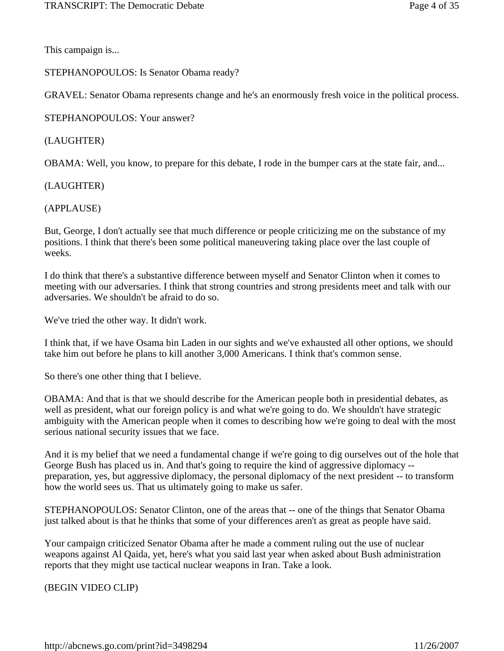This campaign is...

STEPHANOPOULOS: Is Senator Obama ready?

GRAVEL: Senator Obama represents change and he's an enormously fresh voice in the political process.

STEPHANOPOULOS: Your answer?

# (LAUGHTER)

OBAMA: Well, you know, to prepare for this debate, I rode in the bumper cars at the state fair, and...

(LAUGHTER)

(APPLAUSE)

But, George, I don't actually see that much difference or people criticizing me on the substance of my positions. I think that there's been some political maneuvering taking place over the last couple of weeks.

I do think that there's a substantive difference between myself and Senator Clinton when it comes to meeting with our adversaries. I think that strong countries and strong presidents meet and talk with our adversaries. We shouldn't be afraid to do so.

We've tried the other way. It didn't work.

I think that, if we have Osama bin Laden in our sights and we've exhausted all other options, we should take him out before he plans to kill another 3,000 Americans. I think that's common sense.

So there's one other thing that I believe.

OBAMA: And that is that we should describe for the American people both in presidential debates, as well as president, what our foreign policy is and what we're going to do. We shouldn't have strategic ambiguity with the American people when it comes to describing how we're going to deal with the most serious national security issues that we face.

And it is my belief that we need a fundamental change if we're going to dig ourselves out of the hole that George Bush has placed us in. And that's going to require the kind of aggressive diplomacy - preparation, yes, but aggressive diplomacy, the personal diplomacy of the next president -- to transform how the world sees us. That us ultimately going to make us safer.

STEPHANOPOULOS: Senator Clinton, one of the areas that -- one of the things that Senator Obama just talked about is that he thinks that some of your differences aren't as great as people have said.

Your campaign criticized Senator Obama after he made a comment ruling out the use of nuclear weapons against Al Qaida, yet, here's what you said last year when asked about Bush administration reports that they might use tactical nuclear weapons in Iran. Take a look.

(BEGIN VIDEO CLIP)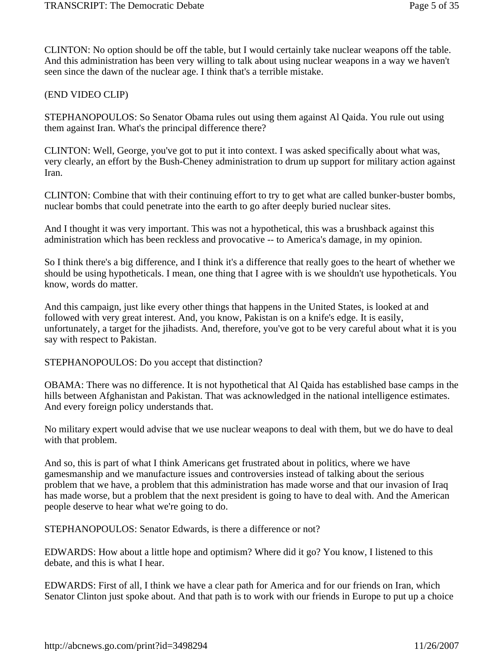CLINTON: No option should be off the table, but I would certainly take nuclear weapons off the table. And this administration has been very willing to talk about using nuclear weapons in a way we haven't seen since the dawn of the nuclear age. I think that's a terrible mistake.

### (END VIDEO CLIP)

STEPHANOPOULOS: So Senator Obama rules out using them against Al Qaida. You rule out using them against Iran. What's the principal difference there?

CLINTON: Well, George, you've got to put it into context. I was asked specifically about what was, very clearly, an effort by the Bush-Cheney administration to drum up support for military action against Iran.

CLINTON: Combine that with their continuing effort to try to get what are called bunker-buster bombs, nuclear bombs that could penetrate into the earth to go after deeply buried nuclear sites.

And I thought it was very important. This was not a hypothetical, this was a brushback against this administration which has been reckless and provocative -- to America's damage, in my opinion.

So I think there's a big difference, and I think it's a difference that really goes to the heart of whether we should be using hypotheticals. I mean, one thing that I agree with is we shouldn't use hypotheticals. You know, words do matter.

And this campaign, just like every other things that happens in the United States, is looked at and followed with very great interest. And, you know, Pakistan is on a knife's edge. It is easily, unfortunately, a target for the jihadists. And, therefore, you've got to be very careful about what it is you say with respect to Pakistan.

STEPHANOPOULOS: Do you accept that distinction?

OBAMA: There was no difference. It is not hypothetical that Al Qaida has established base camps in the hills between Afghanistan and Pakistan. That was acknowledged in the national intelligence estimates. And every foreign policy understands that.

No military expert would advise that we use nuclear weapons to deal with them, but we do have to deal with that problem.

And so, this is part of what I think Americans get frustrated about in politics, where we have gamesmanship and we manufacture issues and controversies instead of talking about the serious problem that we have, a problem that this administration has made worse and that our invasion of Iraq has made worse, but a problem that the next president is going to have to deal with. And the American people deserve to hear what we're going to do.

STEPHANOPOULOS: Senator Edwards, is there a difference or not?

EDWARDS: How about a little hope and optimism? Where did it go? You know, I listened to this debate, and this is what I hear.

EDWARDS: First of all, I think we have a clear path for America and for our friends on Iran, which Senator Clinton just spoke about. And that path is to work with our friends in Europe to put up a choice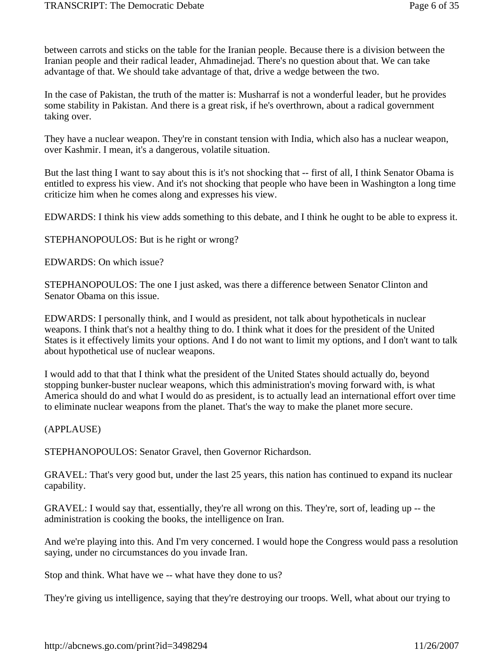between carrots and sticks on the table for the Iranian people. Because there is a division between the Iranian people and their radical leader, Ahmadinejad. There's no question about that. We can take advantage of that. We should take advantage of that, drive a wedge between the two.

In the case of Pakistan, the truth of the matter is: Musharraf is not a wonderful leader, but he provides some stability in Pakistan. And there is a great risk, if he's overthrown, about a radical government taking over.

They have a nuclear weapon. They're in constant tension with India, which also has a nuclear weapon, over Kashmir. I mean, it's a dangerous, volatile situation.

But the last thing I want to say about this is it's not shocking that -- first of all, I think Senator Obama is entitled to express his view. And it's not shocking that people who have been in Washington a long time criticize him when he comes along and expresses his view.

EDWARDS: I think his view adds something to this debate, and I think he ought to be able to express it.

STEPHANOPOULOS: But is he right or wrong?

EDWARDS: On which issue?

STEPHANOPOULOS: The one I just asked, was there a difference between Senator Clinton and Senator Obama on this issue.

EDWARDS: I personally think, and I would as president, not talk about hypotheticals in nuclear weapons. I think that's not a healthy thing to do. I think what it does for the president of the United States is it effectively limits your options. And I do not want to limit my options, and I don't want to talk about hypothetical use of nuclear weapons.

I would add to that that I think what the president of the United States should actually do, beyond stopping bunker-buster nuclear weapons, which this administration's moving forward with, is what America should do and what I would do as president, is to actually lead an international effort over time to eliminate nuclear weapons from the planet. That's the way to make the planet more secure.

### (APPLAUSE)

STEPHANOPOULOS: Senator Gravel, then Governor Richardson.

GRAVEL: That's very good but, under the last 25 years, this nation has continued to expand its nuclear capability.

GRAVEL: I would say that, essentially, they're all wrong on this. They're, sort of, leading up -- the administration is cooking the books, the intelligence on Iran.

And we're playing into this. And I'm very concerned. I would hope the Congress would pass a resolution saying, under no circumstances do you invade Iran.

Stop and think. What have we -- what have they done to us?

They're giving us intelligence, saying that they're destroying our troops. Well, what about our trying to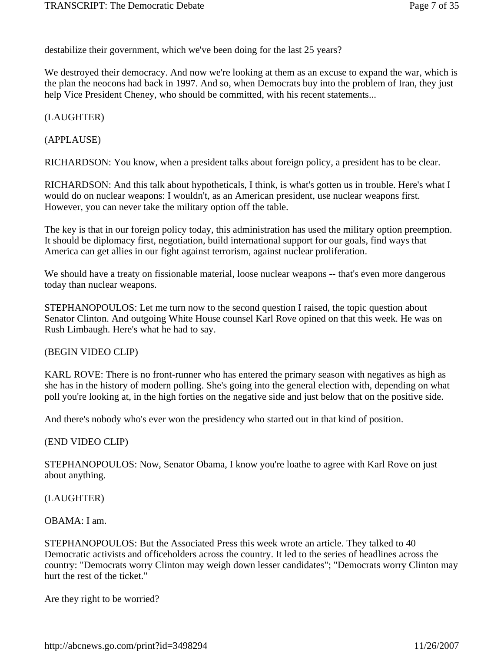destabilize their government, which we've been doing for the last 25 years?

We destroyed their democracy. And now we're looking at them as an excuse to expand the war, which is the plan the neocons had back in 1997. And so, when Democrats buy into the problem of Iran, they just help Vice President Cheney, who should be committed, with his recent statements...

### (LAUGHTER)

### (APPLAUSE)

RICHARDSON: You know, when a president talks about foreign policy, a president has to be clear.

RICHARDSON: And this talk about hypotheticals, I think, is what's gotten us in trouble. Here's what I would do on nuclear weapons: I wouldn't, as an American president, use nuclear weapons first. However, you can never take the military option off the table.

The key is that in our foreign policy today, this administration has used the military option preemption. It should be diplomacy first, negotiation, build international support for our goals, find ways that America can get allies in our fight against terrorism, against nuclear proliferation.

We should have a treaty on fissionable material, loose nuclear weapons -- that's even more dangerous today than nuclear weapons.

STEPHANOPOULOS: Let me turn now to the second question I raised, the topic question about Senator Clinton. And outgoing White House counsel Karl Rove opined on that this week. He was on Rush Limbaugh. Here's what he had to say.

(BEGIN VIDEO CLIP)

KARL ROVE: There is no front-runner who has entered the primary season with negatives as high as she has in the history of modern polling. She's going into the general election with, depending on what poll you're looking at, in the high forties on the negative side and just below that on the positive side.

And there's nobody who's ever won the presidency who started out in that kind of position.

### (END VIDEO CLIP)

STEPHANOPOULOS: Now, Senator Obama, I know you're loathe to agree with Karl Rove on just about anything.

### (LAUGHTER)

#### OBAMA: I am.

STEPHANOPOULOS: But the Associated Press this week wrote an article. They talked to 40 Democratic activists and officeholders across the country. It led to the series of headlines across the country: "Democrats worry Clinton may weigh down lesser candidates"; "Democrats worry Clinton may hurt the rest of the ticket."

Are they right to be worried?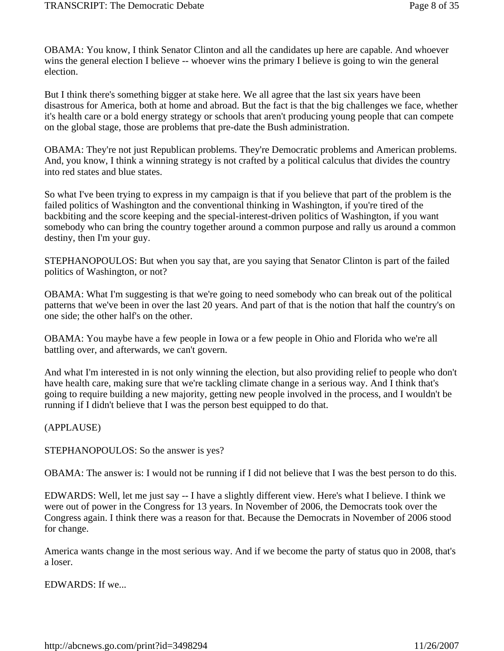OBAMA: You know, I think Senator Clinton and all the candidates up here are capable. And whoever wins the general election I believe -- whoever wins the primary I believe is going to win the general election.

But I think there's something bigger at stake here. We all agree that the last six years have been disastrous for America, both at home and abroad. But the fact is that the big challenges we face, whether it's health care or a bold energy strategy or schools that aren't producing young people that can compete on the global stage, those are problems that pre-date the Bush administration.

OBAMA: They're not just Republican problems. They're Democratic problems and American problems. And, you know, I think a winning strategy is not crafted by a political calculus that divides the country into red states and blue states.

So what I've been trying to express in my campaign is that if you believe that part of the problem is the failed politics of Washington and the conventional thinking in Washington, if you're tired of the backbiting and the score keeping and the special-interest-driven politics of Washington, if you want somebody who can bring the country together around a common purpose and rally us around a common destiny, then I'm your guy.

STEPHANOPOULOS: But when you say that, are you saying that Senator Clinton is part of the failed politics of Washington, or not?

OBAMA: What I'm suggesting is that we're going to need somebody who can break out of the political patterns that we've been in over the last 20 years. And part of that is the notion that half the country's on one side; the other half's on the other.

OBAMA: You maybe have a few people in Iowa or a few people in Ohio and Florida who we're all battling over, and afterwards, we can't govern.

And what I'm interested in is not only winning the election, but also providing relief to people who don't have health care, making sure that we're tackling climate change in a serious way. And I think that's going to require building a new majority, getting new people involved in the process, and I wouldn't be running if I didn't believe that I was the person best equipped to do that.

### (APPLAUSE)

STEPHANOPOULOS: So the answer is yes?

OBAMA: The answer is: I would not be running if I did not believe that I was the best person to do this.

EDWARDS: Well, let me just say -- I have a slightly different view. Here's what I believe. I think we were out of power in the Congress for 13 years. In November of 2006, the Democrats took over the Congress again. I think there was a reason for that. Because the Democrats in November of 2006 stood for change.

America wants change in the most serious way. And if we become the party of status quo in 2008, that's a loser.

EDWARDS: If we...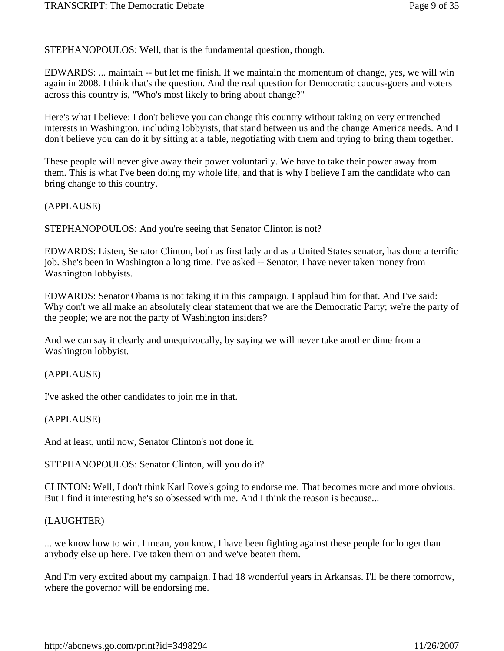STEPHANOPOULOS: Well, that is the fundamental question, though.

EDWARDS: ... maintain -- but let me finish. If we maintain the momentum of change, yes, we will win again in 2008. I think that's the question. And the real question for Democratic caucus-goers and voters across this country is, "Who's most likely to bring about change?"

Here's what I believe: I don't believe you can change this country without taking on very entrenched interests in Washington, including lobbyists, that stand between us and the change America needs. And I don't believe you can do it by sitting at a table, negotiating with them and trying to bring them together.

These people will never give away their power voluntarily. We have to take their power away from them. This is what I've been doing my whole life, and that is why I believe I am the candidate who can bring change to this country.

(APPLAUSE)

STEPHANOPOULOS: And you're seeing that Senator Clinton is not?

EDWARDS: Listen, Senator Clinton, both as first lady and as a United States senator, has done a terrific job. She's been in Washington a long time. I've asked -- Senator, I have never taken money from Washington lobbyists.

EDWARDS: Senator Obama is not taking it in this campaign. I applaud him for that. And I've said: Why don't we all make an absolutely clear statement that we are the Democratic Party; we're the party of the people; we are not the party of Washington insiders?

And we can say it clearly and unequivocally, by saying we will never take another dime from a Washington lobbyist.

(APPLAUSE)

I've asked the other candidates to join me in that.

(APPLAUSE)

And at least, until now, Senator Clinton's not done it.

STEPHANOPOULOS: Senator Clinton, will you do it?

CLINTON: Well, I don't think Karl Rove's going to endorse me. That becomes more and more obvious. But I find it interesting he's so obsessed with me. And I think the reason is because...

### (LAUGHTER)

... we know how to win. I mean, you know, I have been fighting against these people for longer than anybody else up here. I've taken them on and we've beaten them.

And I'm very excited about my campaign. I had 18 wonderful years in Arkansas. I'll be there tomorrow, where the governor will be endorsing me.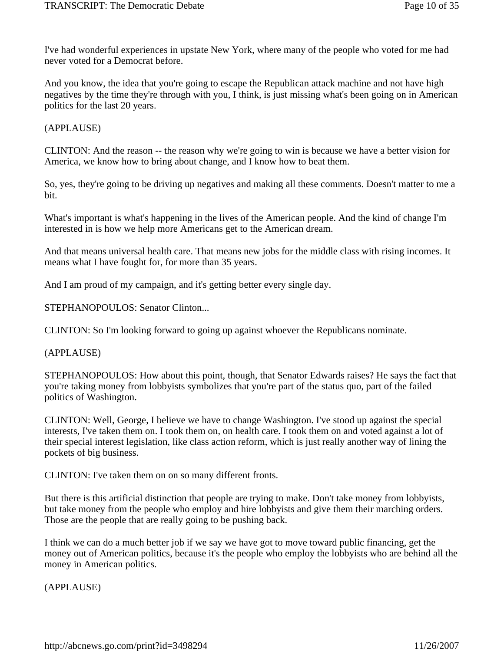I've had wonderful experiences in upstate New York, where many of the people who voted for me had never voted for a Democrat before.

And you know, the idea that you're going to escape the Republican attack machine and not have high negatives by the time they're through with you, I think, is just missing what's been going on in American politics for the last 20 years.

(APPLAUSE)

CLINTON: And the reason -- the reason why we're going to win is because we have a better vision for America, we know how to bring about change, and I know how to beat them.

So, yes, they're going to be driving up negatives and making all these comments. Doesn't matter to me a bit.

What's important is what's happening in the lives of the American people. And the kind of change I'm interested in is how we help more Americans get to the American dream.

And that means universal health care. That means new jobs for the middle class with rising incomes. It means what I have fought for, for more than 35 years.

And I am proud of my campaign, and it's getting better every single day.

STEPHANOPOULOS: Senator Clinton...

CLINTON: So I'm looking forward to going up against whoever the Republicans nominate.

(APPLAUSE)

STEPHANOPOULOS: How about this point, though, that Senator Edwards raises? He says the fact that you're taking money from lobbyists symbolizes that you're part of the status quo, part of the failed politics of Washington.

CLINTON: Well, George, I believe we have to change Washington. I've stood up against the special interests, I've taken them on. I took them on, on health care. I took them on and voted against a lot of their special interest legislation, like class action reform, which is just really another way of lining the pockets of big business.

CLINTON: I've taken them on on so many different fronts.

But there is this artificial distinction that people are trying to make. Don't take money from lobbyists, but take money from the people who employ and hire lobbyists and give them their marching orders. Those are the people that are really going to be pushing back.

I think we can do a much better job if we say we have got to move toward public financing, get the money out of American politics, because it's the people who employ the lobbyists who are behind all the money in American politics.

(APPLAUSE)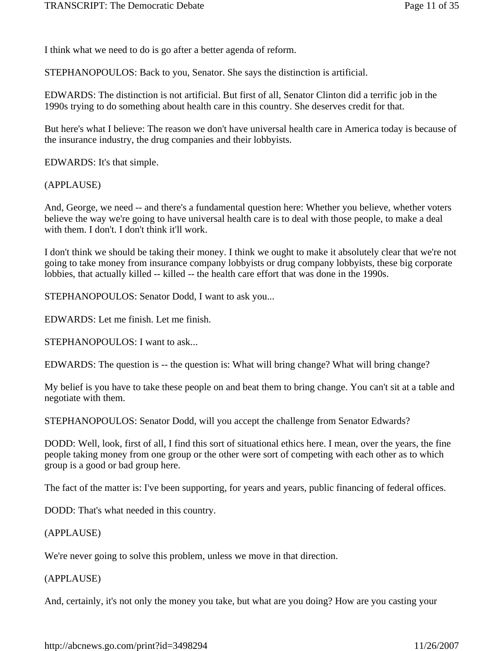I think what we need to do is go after a better agenda of reform.

STEPHANOPOULOS: Back to you, Senator. She says the distinction is artificial.

EDWARDS: The distinction is not artificial. But first of all, Senator Clinton did a terrific job in the 1990s trying to do something about health care in this country. She deserves credit for that.

But here's what I believe: The reason we don't have universal health care in America today is because of the insurance industry, the drug companies and their lobbyists.

EDWARDS: It's that simple.

#### (APPLAUSE)

And, George, we need -- and there's a fundamental question here: Whether you believe, whether voters believe the way we're going to have universal health care is to deal with those people, to make a deal with them. I don't. I don't think it'll work.

I don't think we should be taking their money. I think we ought to make it absolutely clear that we're not going to take money from insurance company lobbyists or drug company lobbyists, these big corporate lobbies, that actually killed -- killed -- the health care effort that was done in the 1990s.

STEPHANOPOULOS: Senator Dodd, I want to ask you...

EDWARDS: Let me finish. Let me finish.

STEPHANOPOULOS: I want to ask...

EDWARDS: The question is -- the question is: What will bring change? What will bring change?

My belief is you have to take these people on and beat them to bring change. You can't sit at a table and negotiate with them.

STEPHANOPOULOS: Senator Dodd, will you accept the challenge from Senator Edwards?

DODD: Well, look, first of all, I find this sort of situational ethics here. I mean, over the years, the fine people taking money from one group or the other were sort of competing with each other as to which group is a good or bad group here.

The fact of the matter is: I've been supporting, for years and years, public financing of federal offices.

DODD: That's what needed in this country.

(APPLAUSE)

We're never going to solve this problem, unless we move in that direction.

#### (APPLAUSE)

And, certainly, it's not only the money you take, but what are you doing? How are you casting your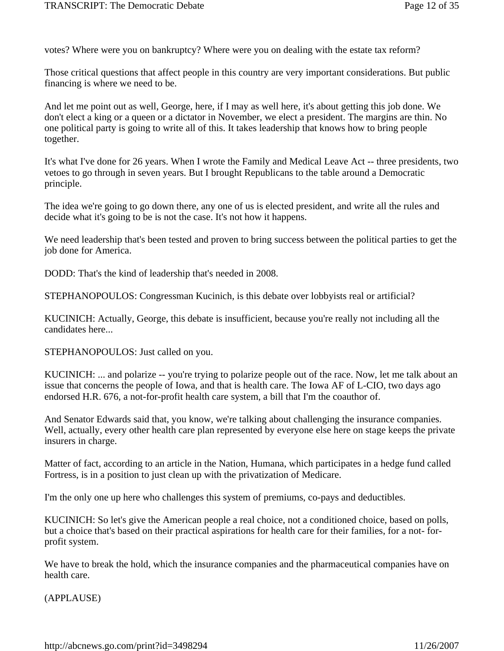votes? Where were you on bankruptcy? Where were you on dealing with the estate tax reform?

Those critical questions that affect people in this country are very important considerations. But public financing is where we need to be.

And let me point out as well, George, here, if I may as well here, it's about getting this job done. We don't elect a king or a queen or a dictator in November, we elect a president. The margins are thin. No one political party is going to write all of this. It takes leadership that knows how to bring people together.

It's what I've done for 26 years. When I wrote the Family and Medical Leave Act -- three presidents, two vetoes to go through in seven years. But I brought Republicans to the table around a Democratic principle.

The idea we're going to go down there, any one of us is elected president, and write all the rules and decide what it's going to be is not the case. It's not how it happens.

We need leadership that's been tested and proven to bring success between the political parties to get the job done for America.

DODD: That's the kind of leadership that's needed in 2008.

STEPHANOPOULOS: Congressman Kucinich, is this debate over lobbyists real or artificial?

KUCINICH: Actually, George, this debate is insufficient, because you're really not including all the candidates here...

STEPHANOPOULOS: Just called on you.

KUCINICH: ... and polarize -- you're trying to polarize people out of the race. Now, let me talk about an issue that concerns the people of Iowa, and that is health care. The Iowa AF of L-CIO, two days ago endorsed H.R. 676, a not-for-profit health care system, a bill that I'm the coauthor of.

And Senator Edwards said that, you know, we're talking about challenging the insurance companies. Well, actually, every other health care plan represented by everyone else here on stage keeps the private insurers in charge.

Matter of fact, according to an article in the Nation, Humana, which participates in a hedge fund called Fortress, is in a position to just clean up with the privatization of Medicare.

I'm the only one up here who challenges this system of premiums, co-pays and deductibles.

KUCINICH: So let's give the American people a real choice, not a conditioned choice, based on polls, but a choice that's based on their practical aspirations for health care for their families, for a not- forprofit system.

We have to break the hold, which the insurance companies and the pharmaceutical companies have on health care.

#### (APPLAUSE)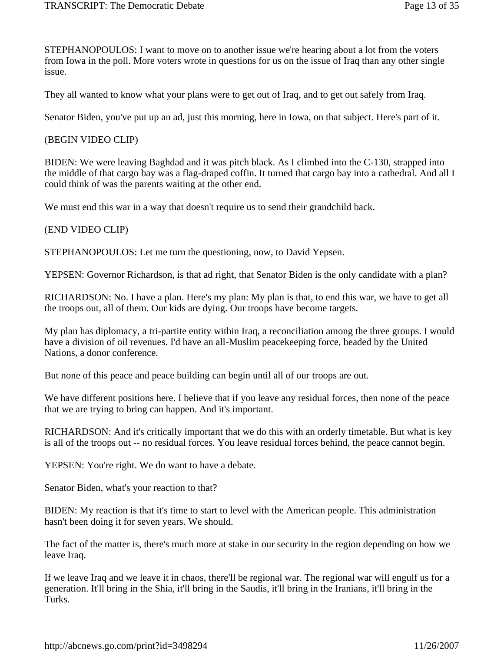STEPHANOPOULOS: I want to move on to another issue we're hearing about a lot from the voters from Iowa in the poll. More voters wrote in questions for us on the issue of Iraq than any other single issue.

They all wanted to know what your plans were to get out of Iraq, and to get out safely from Iraq.

Senator Biden, you've put up an ad, just this morning, here in Iowa, on that subject. Here's part of it.

(BEGIN VIDEO CLIP)

BIDEN: We were leaving Baghdad and it was pitch black. As I climbed into the C-130, strapped into the middle of that cargo bay was a flag-draped coffin. It turned that cargo bay into a cathedral. And all I could think of was the parents waiting at the other end.

We must end this war in a way that doesn't require us to send their grandchild back.

(END VIDEO CLIP)

STEPHANOPOULOS: Let me turn the questioning, now, to David Yepsen.

YEPSEN: Governor Richardson, is that ad right, that Senator Biden is the only candidate with a plan?

RICHARDSON: No. I have a plan. Here's my plan: My plan is that, to end this war, we have to get all the troops out, all of them. Our kids are dying. Our troops have become targets.

My plan has diplomacy, a tri-partite entity within Iraq, a reconciliation among the three groups. I would have a division of oil revenues. I'd have an all-Muslim peacekeeping force, headed by the United Nations, a donor conference.

But none of this peace and peace building can begin until all of our troops are out.

We have different positions here. I believe that if you leave any residual forces, then none of the peace that we are trying to bring can happen. And it's important.

RICHARDSON: And it's critically important that we do this with an orderly timetable. But what is key is all of the troops out -- no residual forces. You leave residual forces behind, the peace cannot begin.

YEPSEN: You're right. We do want to have a debate.

Senator Biden, what's your reaction to that?

BIDEN: My reaction is that it's time to start to level with the American people. This administration hasn't been doing it for seven years. We should.

The fact of the matter is, there's much more at stake in our security in the region depending on how we leave Iraq.

If we leave Iraq and we leave it in chaos, there'll be regional war. The regional war will engulf us for a generation. It'll bring in the Shia, it'll bring in the Saudis, it'll bring in the Iranians, it'll bring in the Turks.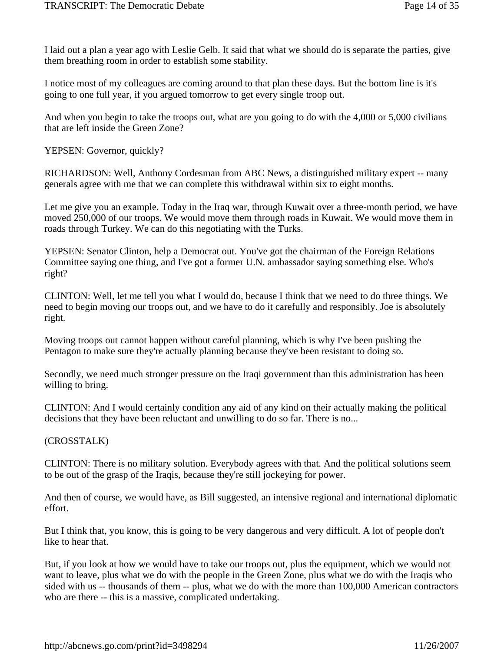I laid out a plan a year ago with Leslie Gelb. It said that what we should do is separate the parties, give them breathing room in order to establish some stability.

I notice most of my colleagues are coming around to that plan these days. But the bottom line is it's going to one full year, if you argued tomorrow to get every single troop out.

And when you begin to take the troops out, what are you going to do with the 4,000 or 5,000 civilians that are left inside the Green Zone?

YEPSEN: Governor, quickly?

RICHARDSON: Well, Anthony Cordesman from ABC News, a distinguished military expert -- many generals agree with me that we can complete this withdrawal within six to eight months.

Let me give you an example. Today in the Iraq war, through Kuwait over a three-month period, we have moved 250,000 of our troops. We would move them through roads in Kuwait. We would move them in roads through Turkey. We can do this negotiating with the Turks.

YEPSEN: Senator Clinton, help a Democrat out. You've got the chairman of the Foreign Relations Committee saying one thing, and I've got a former U.N. ambassador saying something else. Who's right?

CLINTON: Well, let me tell you what I would do, because I think that we need to do three things. We need to begin moving our troops out, and we have to do it carefully and responsibly. Joe is absolutely right.

Moving troops out cannot happen without careful planning, which is why I've been pushing the Pentagon to make sure they're actually planning because they've been resistant to doing so.

Secondly, we need much stronger pressure on the Iraqi government than this administration has been willing to bring.

CLINTON: And I would certainly condition any aid of any kind on their actually making the political decisions that they have been reluctant and unwilling to do so far. There is no...

### (CROSSTALK)

CLINTON: There is no military solution. Everybody agrees with that. And the political solutions seem to be out of the grasp of the Iraqis, because they're still jockeying for power.

And then of course, we would have, as Bill suggested, an intensive regional and international diplomatic effort.

But I think that, you know, this is going to be very dangerous and very difficult. A lot of people don't like to hear that.

But, if you look at how we would have to take our troops out, plus the equipment, which we would not want to leave, plus what we do with the people in the Green Zone, plus what we do with the Iraqis who sided with us -- thousands of them -- plus, what we do with the more than 100,000 American contractors who are there -- this is a massive, complicated undertaking.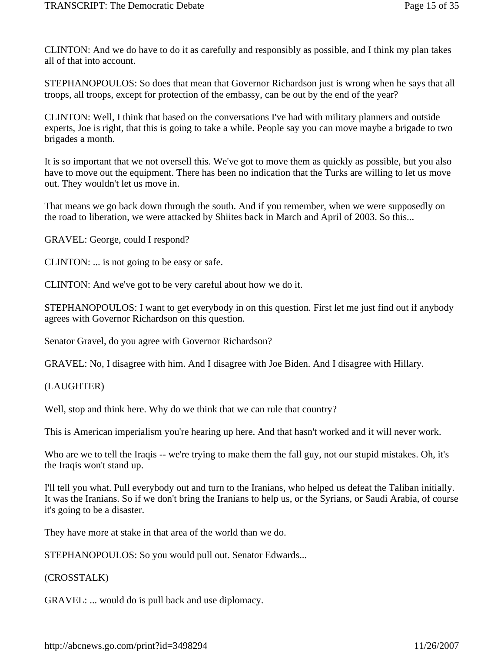CLINTON: And we do have to do it as carefully and responsibly as possible, and I think my plan takes all of that into account.

STEPHANOPOULOS: So does that mean that Governor Richardson just is wrong when he says that all troops, all troops, except for protection of the embassy, can be out by the end of the year?

CLINTON: Well, I think that based on the conversations I've had with military planners and outside experts, Joe is right, that this is going to take a while. People say you can move maybe a brigade to two brigades a month.

It is so important that we not oversell this. We've got to move them as quickly as possible, but you also have to move out the equipment. There has been no indication that the Turks are willing to let us move out. They wouldn't let us move in.

That means we go back down through the south. And if you remember, when we were supposedly on the road to liberation, we were attacked by Shiites back in March and April of 2003. So this...

GRAVEL: George, could I respond?

CLINTON: ... is not going to be easy or safe.

CLINTON: And we've got to be very careful about how we do it.

STEPHANOPOULOS: I want to get everybody in on this question. First let me just find out if anybody agrees with Governor Richardson on this question.

Senator Gravel, do you agree with Governor Richardson?

GRAVEL: No, I disagree with him. And I disagree with Joe Biden. And I disagree with Hillary.

### (LAUGHTER)

Well, stop and think here. Why do we think that we can rule that country?

This is American imperialism you're hearing up here. And that hasn't worked and it will never work.

Who are we to tell the Iraqis -- we're trying to make them the fall guy, not our stupid mistakes. Oh, it's the Iraqis won't stand up.

I'll tell you what. Pull everybody out and turn to the Iranians, who helped us defeat the Taliban initially. It was the Iranians. So if we don't bring the Iranians to help us, or the Syrians, or Saudi Arabia, of course it's going to be a disaster.

They have more at stake in that area of the world than we do.

STEPHANOPOULOS: So you would pull out. Senator Edwards...

### (CROSSTALK)

GRAVEL: ... would do is pull back and use diplomacy.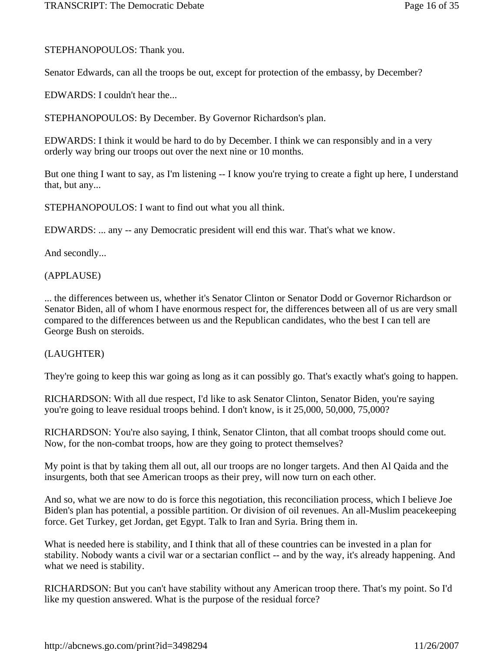STEPHANOPOULOS: Thank you.

Senator Edwards, can all the troops be out, except for protection of the embassy, by December?

EDWARDS: I couldn't hear the...

STEPHANOPOULOS: By December. By Governor Richardson's plan.

EDWARDS: I think it would be hard to do by December. I think we can responsibly and in a very orderly way bring our troops out over the next nine or 10 months.

But one thing I want to say, as I'm listening -- I know you're trying to create a fight up here, I understand that, but any...

STEPHANOPOULOS: I want to find out what you all think.

EDWARDS: ... any -- any Democratic president will end this war. That's what we know.

And secondly...

(APPLAUSE)

... the differences between us, whether it's Senator Clinton or Senator Dodd or Governor Richardson or Senator Biden, all of whom I have enormous respect for, the differences between all of us are very small compared to the differences between us and the Republican candidates, who the best I can tell are George Bush on steroids.

(LAUGHTER)

They're going to keep this war going as long as it can possibly go. That's exactly what's going to happen.

RICHARDSON: With all due respect, I'd like to ask Senator Clinton, Senator Biden, you're saying you're going to leave residual troops behind. I don't know, is it 25,000, 50,000, 75,000?

RICHARDSON: You're also saying, I think, Senator Clinton, that all combat troops should come out. Now, for the non-combat troops, how are they going to protect themselves?

My point is that by taking them all out, all our troops are no longer targets. And then Al Qaida and the insurgents, both that see American troops as their prey, will now turn on each other.

And so, what we are now to do is force this negotiation, this reconciliation process, which I believe Joe Biden's plan has potential, a possible partition. Or division of oil revenues. An all-Muslim peacekeeping force. Get Turkey, get Jordan, get Egypt. Talk to Iran and Syria. Bring them in.

What is needed here is stability, and I think that all of these countries can be invested in a plan for stability. Nobody wants a civil war or a sectarian conflict -- and by the way, it's already happening. And what we need is stability.

RICHARDSON: But you can't have stability without any American troop there. That's my point. So I'd like my question answered. What is the purpose of the residual force?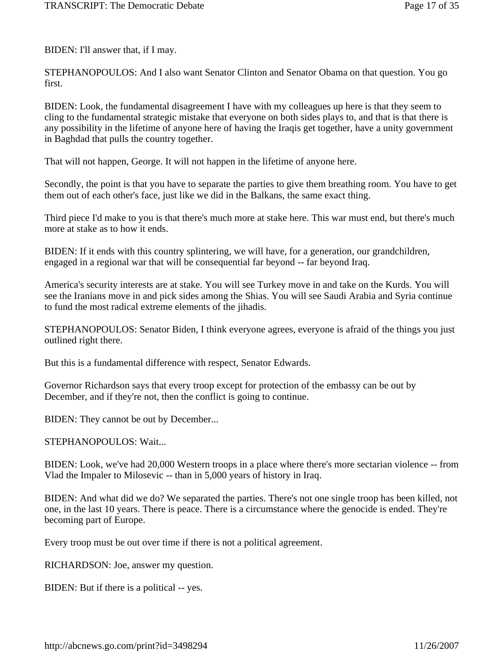BIDEN: I'll answer that, if I may.

STEPHANOPOULOS: And I also want Senator Clinton and Senator Obama on that question. You go first.

BIDEN: Look, the fundamental disagreement I have with my colleagues up here is that they seem to cling to the fundamental strategic mistake that everyone on both sides plays to, and that is that there is any possibility in the lifetime of anyone here of having the Iraqis get together, have a unity government in Baghdad that pulls the country together.

That will not happen, George. It will not happen in the lifetime of anyone here.

Secondly, the point is that you have to separate the parties to give them breathing room. You have to get them out of each other's face, just like we did in the Balkans, the same exact thing.

Third piece I'd make to you is that there's much more at stake here. This war must end, but there's much more at stake as to how it ends.

BIDEN: If it ends with this country splintering, we will have, for a generation, our grandchildren, engaged in a regional war that will be consequential far beyond -- far beyond Iraq.

America's security interests are at stake. You will see Turkey move in and take on the Kurds. You will see the Iranians move in and pick sides among the Shias. You will see Saudi Arabia and Syria continue to fund the most radical extreme elements of the jihadis.

STEPHANOPOULOS: Senator Biden, I think everyone agrees, everyone is afraid of the things you just outlined right there.

But this is a fundamental difference with respect, Senator Edwards.

Governor Richardson says that every troop except for protection of the embassy can be out by December, and if they're not, then the conflict is going to continue.

BIDEN: They cannot be out by December...

STEPHANOPOULOS: Wait...

BIDEN: Look, we've had 20,000 Western troops in a place where there's more sectarian violence -- from Vlad the Impaler to Milosevic -- than in 5,000 years of history in Iraq.

BIDEN: And what did we do? We separated the parties. There's not one single troop has been killed, not one, in the last 10 years. There is peace. There is a circumstance where the genocide is ended. They're becoming part of Europe.

Every troop must be out over time if there is not a political agreement.

RICHARDSON: Joe, answer my question.

BIDEN: But if there is a political -- yes.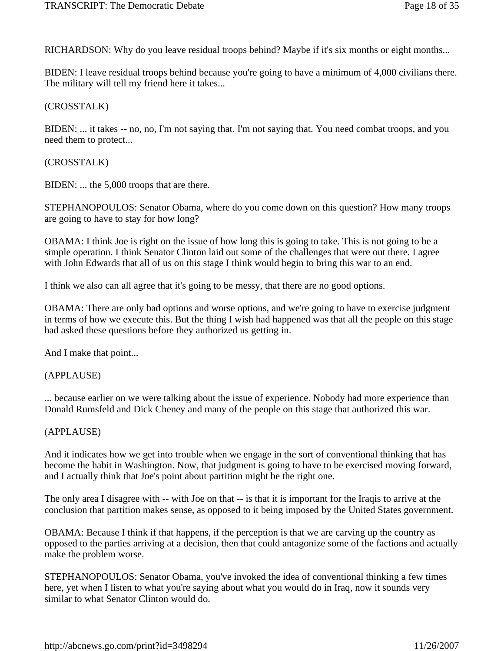RICHARDSON: Why do you leave residual troops behind? Maybe if it's six months or eight months...

BIDEN: I leave residual troops behind because you're going to have a minimum of 4,000 civilians there. The military will tell my friend here it takes...

## (CROSSTALK)

BIDEN: ... it takes -- no, no, I'm not saying that. I'm not saying that. You need combat troops, and you need them to protect...

# (CROSSTALK)

BIDEN: ... the 5,000 troops that are there.

STEPHANOPOULOS: Senator Obama, where do you come down on this question? How many troops are going to have to stay for how long?

OBAMA: I think Joe is right on the issue of how long this is going to take. This is not going to be a simple operation. I think Senator Clinton laid out some of the challenges that were out there. I agree with John Edwards that all of us on this stage I think would begin to bring this war to an end.

I think we also can all agree that it's going to be messy, that there are no good options.

OBAMA: There are only bad options and worse options, and we're going to have to exercise judgment in terms of how we execute this. But the thing I wish had happened was that all the people on this stage had asked these questions before they authorized us getting in.

And I make that point...

### (APPLAUSE)

... because earlier on we were talking about the issue of experience. Nobody had more experience than Donald Rumsfeld and Dick Cheney and many of the people on this stage that authorized this war.

### (APPLAUSE)

And it indicates how we get into trouble when we engage in the sort of conventional thinking that has become the habit in Washington. Now, that judgment is going to have to be exercised moving forward, and I actually think that Joe's point about partition might be the right one.

The only area I disagree with -- with Joe on that -- is that it is important for the Iraqis to arrive at the conclusion that partition makes sense, as opposed to it being imposed by the United States government.

OBAMA: Because I think if that happens, if the perception is that we are carving up the country as opposed to the parties arriving at a decision, then that could antagonize some of the factions and actually make the problem worse.

STEPHANOPOULOS: Senator Obama, you've invoked the idea of conventional thinking a few times here, yet when I listen to what you're saying about what you would do in Iraq, now it sounds very similar to what Senator Clinton would do.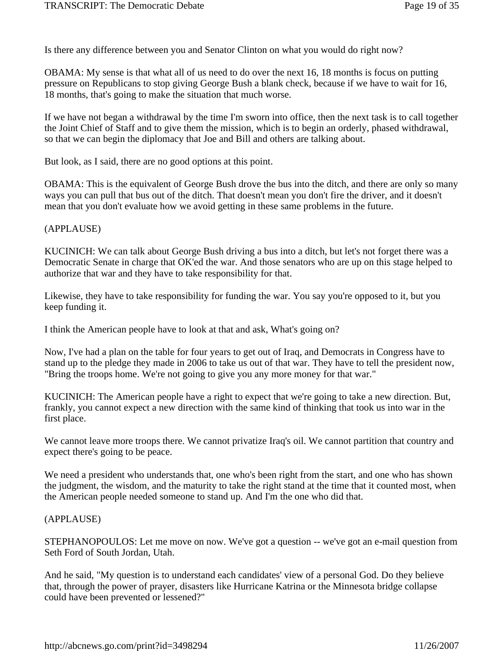Is there any difference between you and Senator Clinton on what you would do right now?

OBAMA: My sense is that what all of us need to do over the next 16, 18 months is focus on putting pressure on Republicans to stop giving George Bush a blank check, because if we have to wait for 16, 18 months, that's going to make the situation that much worse.

If we have not began a withdrawal by the time I'm sworn into office, then the next task is to call together the Joint Chief of Staff and to give them the mission, which is to begin an orderly, phased withdrawal, so that we can begin the diplomacy that Joe and Bill and others are talking about.

But look, as I said, there are no good options at this point.

OBAMA: This is the equivalent of George Bush drove the bus into the ditch, and there are only so many ways you can pull that bus out of the ditch. That doesn't mean you don't fire the driver, and it doesn't mean that you don't evaluate how we avoid getting in these same problems in the future.

### (APPLAUSE)

KUCINICH: We can talk about George Bush driving a bus into a ditch, but let's not forget there was a Democratic Senate in charge that OK'ed the war. And those senators who are up on this stage helped to authorize that war and they have to take responsibility for that.

Likewise, they have to take responsibility for funding the war. You say you're opposed to it, but you keep funding it.

I think the American people have to look at that and ask, What's going on?

Now, I've had a plan on the table for four years to get out of Iraq, and Democrats in Congress have to stand up to the pledge they made in 2006 to take us out of that war. They have to tell the president now, "Bring the troops home. We're not going to give you any more money for that war."

KUCINICH: The American people have a right to expect that we're going to take a new direction. But, frankly, you cannot expect a new direction with the same kind of thinking that took us into war in the first place.

We cannot leave more troops there. We cannot privatize Iraq's oil. We cannot partition that country and expect there's going to be peace.

We need a president who understands that, one who's been right from the start, and one who has shown the judgment, the wisdom, and the maturity to take the right stand at the time that it counted most, when the American people needed someone to stand up. And I'm the one who did that.

### (APPLAUSE)

STEPHANOPOULOS: Let me move on now. We've got a question -- we've got an e-mail question from Seth Ford of South Jordan, Utah.

And he said, "My question is to understand each candidates' view of a personal God. Do they believe that, through the power of prayer, disasters like Hurricane Katrina or the Minnesota bridge collapse could have been prevented or lessened?"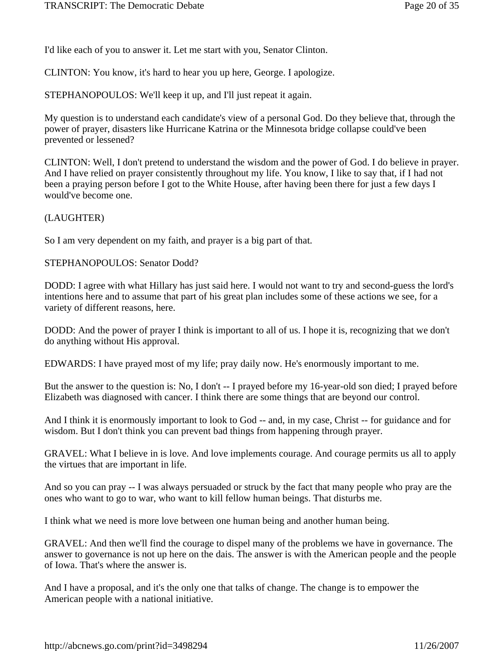I'd like each of you to answer it. Let me start with you, Senator Clinton.

CLINTON: You know, it's hard to hear you up here, George. I apologize.

STEPHANOPOULOS: We'll keep it up, and I'll just repeat it again.

My question is to understand each candidate's view of a personal God. Do they believe that, through the power of prayer, disasters like Hurricane Katrina or the Minnesota bridge collapse could've been prevented or lessened?

CLINTON: Well, I don't pretend to understand the wisdom and the power of God. I do believe in prayer. And I have relied on prayer consistently throughout my life. You know, I like to say that, if I had not been a praying person before I got to the White House, after having been there for just a few days I would've become one.

#### (LAUGHTER)

So I am very dependent on my faith, and prayer is a big part of that.

#### STEPHANOPOULOS: Senator Dodd?

DODD: I agree with what Hillary has just said here. I would not want to try and second-guess the lord's intentions here and to assume that part of his great plan includes some of these actions we see, for a variety of different reasons, here.

DODD: And the power of prayer I think is important to all of us. I hope it is, recognizing that we don't do anything without His approval.

EDWARDS: I have prayed most of my life; pray daily now. He's enormously important to me.

But the answer to the question is: No, I don't -- I prayed before my 16-year-old son died; I prayed before Elizabeth was diagnosed with cancer. I think there are some things that are beyond our control.

And I think it is enormously important to look to God -- and, in my case, Christ -- for guidance and for wisdom. But I don't think you can prevent bad things from happening through prayer.

GRAVEL: What I believe in is love. And love implements courage. And courage permits us all to apply the virtues that are important in life.

And so you can pray -- I was always persuaded or struck by the fact that many people who pray are the ones who want to go to war, who want to kill fellow human beings. That disturbs me.

I think what we need is more love between one human being and another human being.

GRAVEL: And then we'll find the courage to dispel many of the problems we have in governance. The answer to governance is not up here on the dais. The answer is with the American people and the people of Iowa. That's where the answer is.

And I have a proposal, and it's the only one that talks of change. The change is to empower the American people with a national initiative.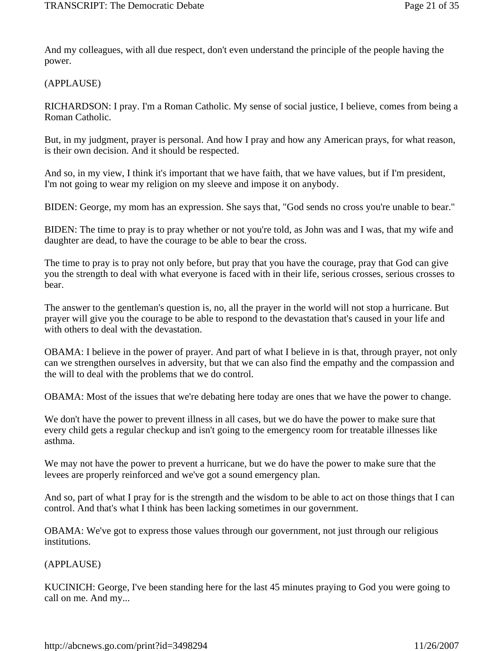And my colleagues, with all due respect, don't even understand the principle of the people having the power.

(APPLAUSE)

RICHARDSON: I pray. I'm a Roman Catholic. My sense of social justice, I believe, comes from being a Roman Catholic.

But, in my judgment, prayer is personal. And how I pray and how any American prays, for what reason, is their own decision. And it should be respected.

And so, in my view, I think it's important that we have faith, that we have values, but if I'm president, I'm not going to wear my religion on my sleeve and impose it on anybody.

BIDEN: George, my mom has an expression. She says that, "God sends no cross you're unable to bear."

BIDEN: The time to pray is to pray whether or not you're told, as John was and I was, that my wife and daughter are dead, to have the courage to be able to bear the cross.

The time to pray is to pray not only before, but pray that you have the courage, pray that God can give you the strength to deal with what everyone is faced with in their life, serious crosses, serious crosses to bear.

The answer to the gentleman's question is, no, all the prayer in the world will not stop a hurricane. But prayer will give you the courage to be able to respond to the devastation that's caused in your life and with others to deal with the devastation.

OBAMA: I believe in the power of prayer. And part of what I believe in is that, through prayer, not only can we strengthen ourselves in adversity, but that we can also find the empathy and the compassion and the will to deal with the problems that we do control.

OBAMA: Most of the issues that we're debating here today are ones that we have the power to change.

We don't have the power to prevent illness in all cases, but we do have the power to make sure that every child gets a regular checkup and isn't going to the emergency room for treatable illnesses like asthma.

We may not have the power to prevent a hurricane, but we do have the power to make sure that the levees are properly reinforced and we've got a sound emergency plan.

And so, part of what I pray for is the strength and the wisdom to be able to act on those things that I can control. And that's what I think has been lacking sometimes in our government.

OBAMA: We've got to express those values through our government, not just through our religious institutions.

### (APPLAUSE)

KUCINICH: George, I've been standing here for the last 45 minutes praying to God you were going to call on me. And my...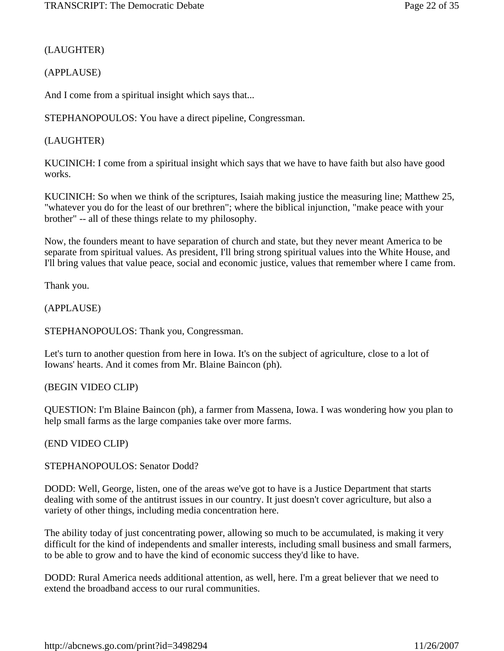# (LAUGHTER)

(APPLAUSE)

And I come from a spiritual insight which says that...

STEPHANOPOULOS: You have a direct pipeline, Congressman.

# (LAUGHTER)

KUCINICH: I come from a spiritual insight which says that we have to have faith but also have good works.

KUCINICH: So when we think of the scriptures, Isaiah making justice the measuring line; Matthew 25, "whatever you do for the least of our brethren"; where the biblical injunction, "make peace with your brother" -- all of these things relate to my philosophy.

Now, the founders meant to have separation of church and state, but they never meant America to be separate from spiritual values. As president, I'll bring strong spiritual values into the White House, and I'll bring values that value peace, social and economic justice, values that remember where I came from.

Thank you.

(APPLAUSE)

STEPHANOPOULOS: Thank you, Congressman.

Let's turn to another question from here in Iowa. It's on the subject of agriculture, close to a lot of Iowans' hearts. And it comes from Mr. Blaine Baincon (ph).

(BEGIN VIDEO CLIP)

QUESTION: I'm Blaine Baincon (ph), a farmer from Massena, Iowa. I was wondering how you plan to help small farms as the large companies take over more farms.

(END VIDEO CLIP)

STEPHANOPOULOS: Senator Dodd?

DODD: Well, George, listen, one of the areas we've got to have is a Justice Department that starts dealing with some of the antitrust issues in our country. It just doesn't cover agriculture, but also a variety of other things, including media concentration here.

The ability today of just concentrating power, allowing so much to be accumulated, is making it very difficult for the kind of independents and smaller interests, including small business and small farmers, to be able to grow and to have the kind of economic success they'd like to have.

DODD: Rural America needs additional attention, as well, here. I'm a great believer that we need to extend the broadband access to our rural communities.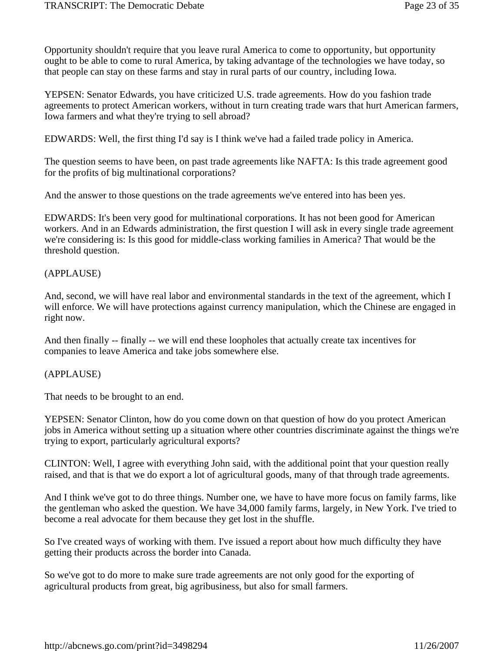Opportunity shouldn't require that you leave rural America to come to opportunity, but opportunity ought to be able to come to rural America, by taking advantage of the technologies we have today, so that people can stay on these farms and stay in rural parts of our country, including Iowa.

YEPSEN: Senator Edwards, you have criticized U.S. trade agreements. How do you fashion trade agreements to protect American workers, without in turn creating trade wars that hurt American farmers, Iowa farmers and what they're trying to sell abroad?

EDWARDS: Well, the first thing I'd say is I think we've had a failed trade policy in America.

The question seems to have been, on past trade agreements like NAFTA: Is this trade agreement good for the profits of big multinational corporations?

And the answer to those questions on the trade agreements we've entered into has been yes.

EDWARDS: It's been very good for multinational corporations. It has not been good for American workers. And in an Edwards administration, the first question I will ask in every single trade agreement we're considering is: Is this good for middle-class working families in America? That would be the threshold question.

#### (APPLAUSE)

And, second, we will have real labor and environmental standards in the text of the agreement, which I will enforce. We will have protections against currency manipulation, which the Chinese are engaged in right now.

And then finally -- finally -- we will end these loopholes that actually create tax incentives for companies to leave America and take jobs somewhere else.

#### (APPLAUSE)

That needs to be brought to an end.

YEPSEN: Senator Clinton, how do you come down on that question of how do you protect American jobs in America without setting up a situation where other countries discriminate against the things we're trying to export, particularly agricultural exports?

CLINTON: Well, I agree with everything John said, with the additional point that your question really raised, and that is that we do export a lot of agricultural goods, many of that through trade agreements.

And I think we've got to do three things. Number one, we have to have more focus on family farms, like the gentleman who asked the question. We have 34,000 family farms, largely, in New York. I've tried to become a real advocate for them because they get lost in the shuffle.

So I've created ways of working with them. I've issued a report about how much difficulty they have getting their products across the border into Canada.

So we've got to do more to make sure trade agreements are not only good for the exporting of agricultural products from great, big agribusiness, but also for small farmers.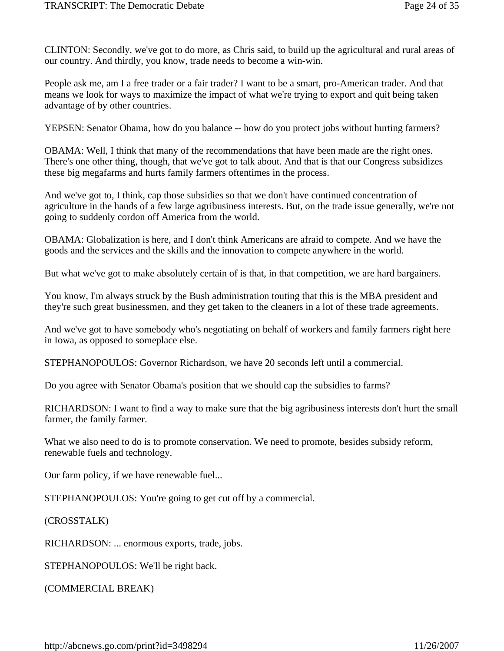CLINTON: Secondly, we've got to do more, as Chris said, to build up the agricultural and rural areas of our country. And thirdly, you know, trade needs to become a win-win.

People ask me, am I a free trader or a fair trader? I want to be a smart, pro-American trader. And that means we look for ways to maximize the impact of what we're trying to export and quit being taken advantage of by other countries.

YEPSEN: Senator Obama, how do you balance -- how do you protect jobs without hurting farmers?

OBAMA: Well, I think that many of the recommendations that have been made are the right ones. There's one other thing, though, that we've got to talk about. And that is that our Congress subsidizes these big megafarms and hurts family farmers oftentimes in the process.

And we've got to, I think, cap those subsidies so that we don't have continued concentration of agriculture in the hands of a few large agribusiness interests. But, on the trade issue generally, we're not going to suddenly cordon off America from the world.

OBAMA: Globalization is here, and I don't think Americans are afraid to compete. And we have the goods and the services and the skills and the innovation to compete anywhere in the world.

But what we've got to make absolutely certain of is that, in that competition, we are hard bargainers.

You know, I'm always struck by the Bush administration touting that this is the MBA president and they're such great businessmen, and they get taken to the cleaners in a lot of these trade agreements.

And we've got to have somebody who's negotiating on behalf of workers and family farmers right here in Iowa, as opposed to someplace else.

STEPHANOPOULOS: Governor Richardson, we have 20 seconds left until a commercial.

Do you agree with Senator Obama's position that we should cap the subsidies to farms?

RICHARDSON: I want to find a way to make sure that the big agribusiness interests don't hurt the small farmer, the family farmer.

What we also need to do is to promote conservation. We need to promote, besides subsidy reform, renewable fuels and technology.

Our farm policy, if we have renewable fuel...

STEPHANOPOULOS: You're going to get cut off by a commercial.

(CROSSTALK)

RICHARDSON: ... enormous exports, trade, jobs.

STEPHANOPOULOS: We'll be right back.

(COMMERCIAL BREAK)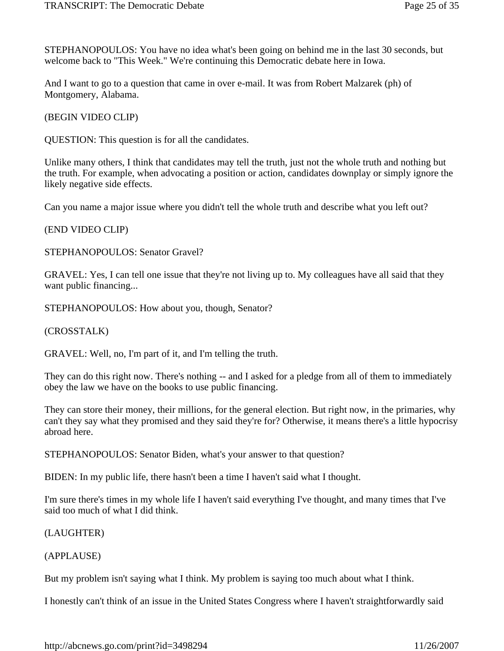STEPHANOPOULOS: You have no idea what's been going on behind me in the last 30 seconds, but welcome back to "This Week." We're continuing this Democratic debate here in Iowa.

And I want to go to a question that came in over e-mail. It was from Robert Malzarek (ph) of Montgomery, Alabama.

(BEGIN VIDEO CLIP)

QUESTION: This question is for all the candidates.

Unlike many others, I think that candidates may tell the truth, just not the whole truth and nothing but the truth. For example, when advocating a position or action, candidates downplay or simply ignore the likely negative side effects.

Can you name a major issue where you didn't tell the whole truth and describe what you left out?

(END VIDEO CLIP)

STEPHANOPOULOS: Senator Gravel?

GRAVEL: Yes, I can tell one issue that they're not living up to. My colleagues have all said that they want public financing...

STEPHANOPOULOS: How about you, though, Senator?

(CROSSTALK)

GRAVEL: Well, no, I'm part of it, and I'm telling the truth.

They can do this right now. There's nothing -- and I asked for a pledge from all of them to immediately obey the law we have on the books to use public financing.

They can store their money, their millions, for the general election. But right now, in the primaries, why can't they say what they promised and they said they're for? Otherwise, it means there's a little hypocrisy abroad here.

STEPHANOPOULOS: Senator Biden, what's your answer to that question?

BIDEN: In my public life, there hasn't been a time I haven't said what I thought.

I'm sure there's times in my whole life I haven't said everything I've thought, and many times that I've said too much of what I did think.

(LAUGHTER)

(APPLAUSE)

But my problem isn't saying what I think. My problem is saying too much about what I think.

I honestly can't think of an issue in the United States Congress where I haven't straightforwardly said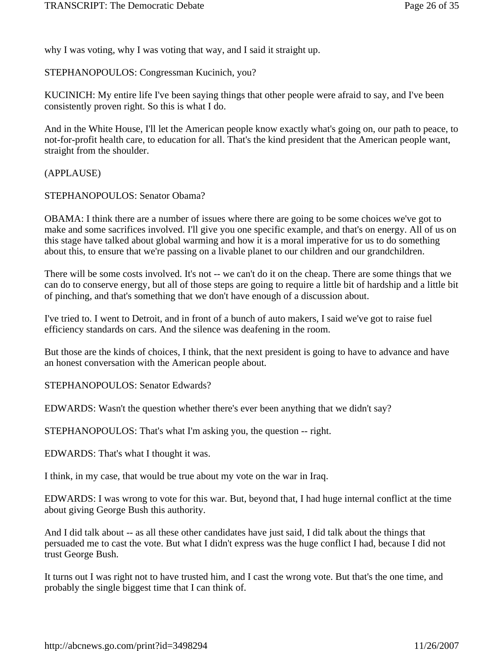why I was voting, why I was voting that way, and I said it straight up.

STEPHANOPOULOS: Congressman Kucinich, you?

KUCINICH: My entire life I've been saying things that other people were afraid to say, and I've been consistently proven right. So this is what I do.

And in the White House, I'll let the American people know exactly what's going on, our path to peace, to not-for-profit health care, to education for all. That's the kind president that the American people want, straight from the shoulder.

(APPLAUSE)

STEPHANOPOULOS: Senator Obama?

OBAMA: I think there are a number of issues where there are going to be some choices we've got to make and some sacrifices involved. I'll give you one specific example, and that's on energy. All of us on this stage have talked about global warming and how it is a moral imperative for us to do something about this, to ensure that we're passing on a livable planet to our children and our grandchildren.

There will be some costs involved. It's not -- we can't do it on the cheap. There are some things that we can do to conserve energy, but all of those steps are going to require a little bit of hardship and a little bit of pinching, and that's something that we don't have enough of a discussion about.

I've tried to. I went to Detroit, and in front of a bunch of auto makers, I said we've got to raise fuel efficiency standards on cars. And the silence was deafening in the room.

But those are the kinds of choices, I think, that the next president is going to have to advance and have an honest conversation with the American people about.

STEPHANOPOULOS: Senator Edwards?

EDWARDS: Wasn't the question whether there's ever been anything that we didn't say?

STEPHANOPOULOS: That's what I'm asking you, the question -- right.

EDWARDS: That's what I thought it was.

I think, in my case, that would be true about my vote on the war in Iraq.

EDWARDS: I was wrong to vote for this war. But, beyond that, I had huge internal conflict at the time about giving George Bush this authority.

And I did talk about -- as all these other candidates have just said, I did talk about the things that persuaded me to cast the vote. But what I didn't express was the huge conflict I had, because I did not trust George Bush.

It turns out I was right not to have trusted him, and I cast the wrong vote. But that's the one time, and probably the single biggest time that I can think of.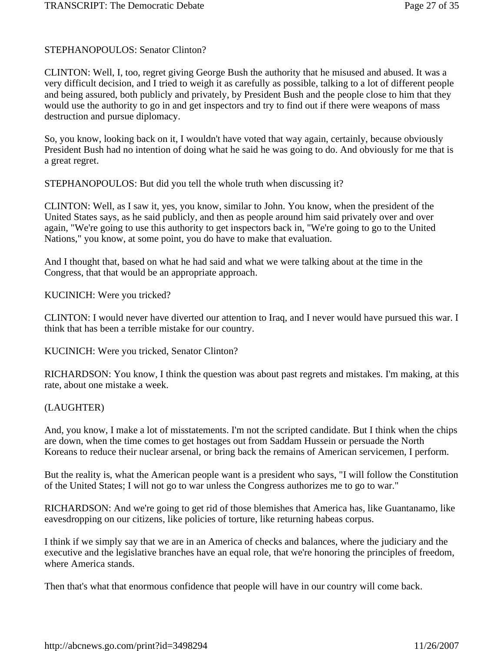### STEPHANOPOULOS: Senator Clinton?

CLINTON: Well, I, too, regret giving George Bush the authority that he misused and abused. It was a very difficult decision, and I tried to weigh it as carefully as possible, talking to a lot of different people and being assured, both publicly and privately, by President Bush and the people close to him that they would use the authority to go in and get inspectors and try to find out if there were weapons of mass destruction and pursue diplomacy.

So, you know, looking back on it, I wouldn't have voted that way again, certainly, because obviously President Bush had no intention of doing what he said he was going to do. And obviously for me that is a great regret.

STEPHANOPOULOS: But did you tell the whole truth when discussing it?

CLINTON: Well, as I saw it, yes, you know, similar to John. You know, when the president of the United States says, as he said publicly, and then as people around him said privately over and over again, "We're going to use this authority to get inspectors back in, "We're going to go to the United Nations," you know, at some point, you do have to make that evaluation.

And I thought that, based on what he had said and what we were talking about at the time in the Congress, that that would be an appropriate approach.

KUCINICH: Were you tricked?

CLINTON: I would never have diverted our attention to Iraq, and I never would have pursued this war. I think that has been a terrible mistake for our country.

KUCINICH: Were you tricked, Senator Clinton?

RICHARDSON: You know, I think the question was about past regrets and mistakes. I'm making, at this rate, about one mistake a week.

### (LAUGHTER)

And, you know, I make a lot of misstatements. I'm not the scripted candidate. But I think when the chips are down, when the time comes to get hostages out from Saddam Hussein or persuade the North Koreans to reduce their nuclear arsenal, or bring back the remains of American servicemen, I perform.

But the reality is, what the American people want is a president who says, "I will follow the Constitution of the United States; I will not go to war unless the Congress authorizes me to go to war."

RICHARDSON: And we're going to get rid of those blemishes that America has, like Guantanamo, like eavesdropping on our citizens, like policies of torture, like returning habeas corpus.

I think if we simply say that we are in an America of checks and balances, where the judiciary and the executive and the legislative branches have an equal role, that we're honoring the principles of freedom, where America stands.

Then that's what that enormous confidence that people will have in our country will come back.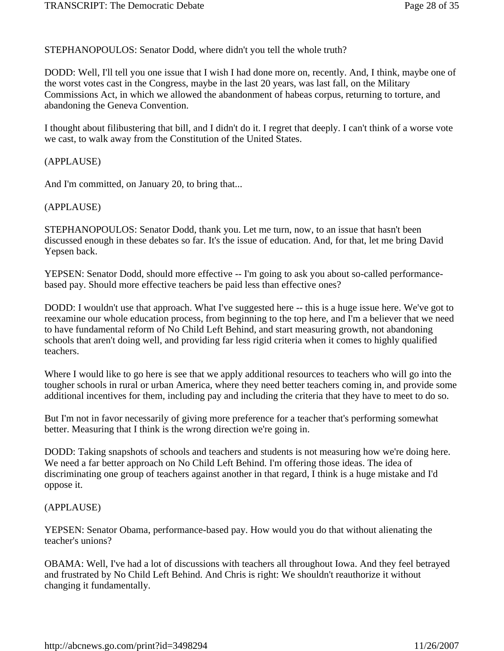STEPHANOPOULOS: Senator Dodd, where didn't you tell the whole truth?

DODD: Well, I'll tell you one issue that I wish I had done more on, recently. And, I think, maybe one of the worst votes cast in the Congress, maybe in the last 20 years, was last fall, on the Military Commissions Act, in which we allowed the abandonment of habeas corpus, returning to torture, and abandoning the Geneva Convention.

I thought about filibustering that bill, and I didn't do it. I regret that deeply. I can't think of a worse vote we cast, to walk away from the Constitution of the United States.

(APPLAUSE)

And I'm committed, on January 20, to bring that...

(APPLAUSE)

STEPHANOPOULOS: Senator Dodd, thank you. Let me turn, now, to an issue that hasn't been discussed enough in these debates so far. It's the issue of education. And, for that, let me bring David Yepsen back.

YEPSEN: Senator Dodd, should more effective -- I'm going to ask you about so-called performancebased pay. Should more effective teachers be paid less than effective ones?

DODD: I wouldn't use that approach. What I've suggested here -- this is a huge issue here. We've got to reexamine our whole education process, from beginning to the top here, and I'm a believer that we need to have fundamental reform of No Child Left Behind, and start measuring growth, not abandoning schools that aren't doing well, and providing far less rigid criteria when it comes to highly qualified teachers.

Where I would like to go here is see that we apply additional resources to teachers who will go into the tougher schools in rural or urban America, where they need better teachers coming in, and provide some additional incentives for them, including pay and including the criteria that they have to meet to do so.

But I'm not in favor necessarily of giving more preference for a teacher that's performing somewhat better. Measuring that I think is the wrong direction we're going in.

DODD: Taking snapshots of schools and teachers and students is not measuring how we're doing here. We need a far better approach on No Child Left Behind. I'm offering those ideas. The idea of discriminating one group of teachers against another in that regard, I think is a huge mistake and I'd oppose it.

(APPLAUSE)

YEPSEN: Senator Obama, performance-based pay. How would you do that without alienating the teacher's unions?

OBAMA: Well, I've had a lot of discussions with teachers all throughout Iowa. And they feel betrayed and frustrated by No Child Left Behind. And Chris is right: We shouldn't reauthorize it without changing it fundamentally.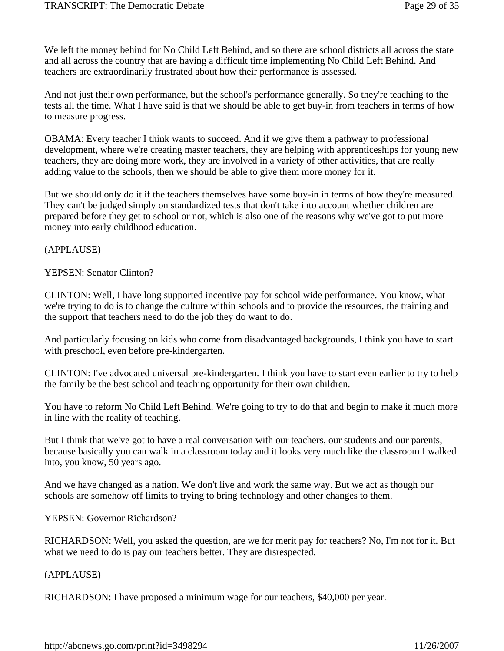We left the money behind for No Child Left Behind, and so there are school districts all across the state and all across the country that are having a difficult time implementing No Child Left Behind. And teachers are extraordinarily frustrated about how their performance is assessed.

And not just their own performance, but the school's performance generally. So they're teaching to the tests all the time. What I have said is that we should be able to get buy-in from teachers in terms of how to measure progress.

OBAMA: Every teacher I think wants to succeed. And if we give them a pathway to professional development, where we're creating master teachers, they are helping with apprenticeships for young new teachers, they are doing more work, they are involved in a variety of other activities, that are really adding value to the schools, then we should be able to give them more money for it.

But we should only do it if the teachers themselves have some buy-in in terms of how they're measured. They can't be judged simply on standardized tests that don't take into account whether children are prepared before they get to school or not, which is also one of the reasons why we've got to put more money into early childhood education.

(APPLAUSE)

YEPSEN: Senator Clinton?

CLINTON: Well, I have long supported incentive pay for school wide performance. You know, what we're trying to do is to change the culture within schools and to provide the resources, the training and the support that teachers need to do the job they do want to do.

And particularly focusing on kids who come from disadvantaged backgrounds, I think you have to start with preschool, even before pre-kindergarten.

CLINTON: I've advocated universal pre-kindergarten. I think you have to start even earlier to try to help the family be the best school and teaching opportunity for their own children.

You have to reform No Child Left Behind. We're going to try to do that and begin to make it much more in line with the reality of teaching.

But I think that we've got to have a real conversation with our teachers, our students and our parents, because basically you can walk in a classroom today and it looks very much like the classroom I walked into, you know, 50 years ago.

And we have changed as a nation. We don't live and work the same way. But we act as though our schools are somehow off limits to trying to bring technology and other changes to them.

YEPSEN: Governor Richardson?

RICHARDSON: Well, you asked the question, are we for merit pay for teachers? No, I'm not for it. But what we need to do is pay our teachers better. They are disrespected.

(APPLAUSE)

RICHARDSON: I have proposed a minimum wage for our teachers, \$40,000 per year.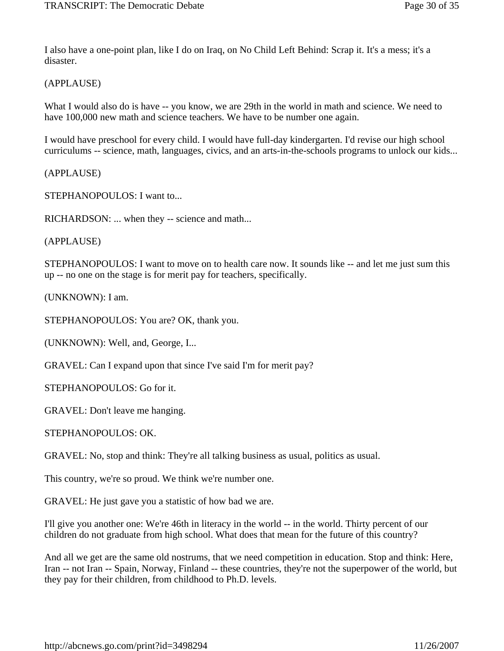I also have a one-point plan, like I do on Iraq, on No Child Left Behind: Scrap it. It's a mess; it's a disaster.

(APPLAUSE)

What I would also do is have -- you know, we are 29th in the world in math and science. We need to have 100,000 new math and science teachers. We have to be number one again.

I would have preschool for every child. I would have full-day kindergarten. I'd revise our high school curriculums -- science, math, languages, civics, and an arts-in-the-schools programs to unlock our kids...

(APPLAUSE)

STEPHANOPOULOS: I want to...

RICHARDSON: ... when they -- science and math...

(APPLAUSE)

STEPHANOPOULOS: I want to move on to health care now. It sounds like -- and let me just sum this up -- no one on the stage is for merit pay for teachers, specifically.

(UNKNOWN): I am.

STEPHANOPOULOS: You are? OK, thank you.

(UNKNOWN): Well, and, George, I...

GRAVEL: Can I expand upon that since I've said I'm for merit pay?

STEPHANOPOULOS: Go for it.

GRAVEL: Don't leave me hanging.

STEPHANOPOULOS: OK.

GRAVEL: No, stop and think: They're all talking business as usual, politics as usual.

This country, we're so proud. We think we're number one.

GRAVEL: He just gave you a statistic of how bad we are.

I'll give you another one: We're 46th in literacy in the world -- in the world. Thirty percent of our children do not graduate from high school. What does that mean for the future of this country?

And all we get are the same old nostrums, that we need competition in education. Stop and think: Here, Iran -- not Iran -- Spain, Norway, Finland -- these countries, they're not the superpower of the world, but they pay for their children, from childhood to Ph.D. levels.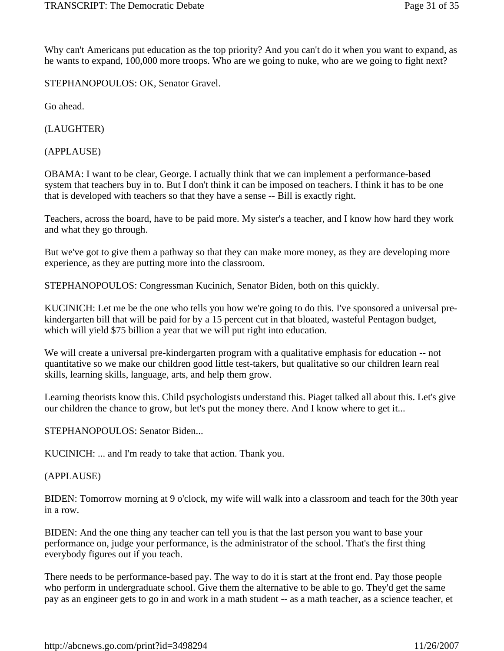Why can't Americans put education as the top priority? And you can't do it when you want to expand, as he wants to expand, 100,000 more troops. Who are we going to nuke, who are we going to fight next?

STEPHANOPOULOS: OK, Senator Gravel.

Go ahead.

(LAUGHTER)

(APPLAUSE)

OBAMA: I want to be clear, George. I actually think that we can implement a performance-based system that teachers buy in to. But I don't think it can be imposed on teachers. I think it has to be one that is developed with teachers so that they have a sense -- Bill is exactly right.

Teachers, across the board, have to be paid more. My sister's a teacher, and I know how hard they work and what they go through.

But we've got to give them a pathway so that they can make more money, as they are developing more experience, as they are putting more into the classroom.

STEPHANOPOULOS: Congressman Kucinich, Senator Biden, both on this quickly.

KUCINICH: Let me be the one who tells you how we're going to do this. I've sponsored a universal prekindergarten bill that will be paid for by a 15 percent cut in that bloated, wasteful Pentagon budget, which will yield \$75 billion a year that we will put right into education.

We will create a universal pre-kindergarten program with a qualitative emphasis for education -- not quantitative so we make our children good little test-takers, but qualitative so our children learn real skills, learning skills, language, arts, and help them grow.

Learning theorists know this. Child psychologists understand this. Piaget talked all about this. Let's give our children the chance to grow, but let's put the money there. And I know where to get it...

STEPHANOPOULOS: Senator Biden...

KUCINICH: ... and I'm ready to take that action. Thank you.

(APPLAUSE)

BIDEN: Tomorrow morning at 9 o'clock, my wife will walk into a classroom and teach for the 30th year in a row.

BIDEN: And the one thing any teacher can tell you is that the last person you want to base your performance on, judge your performance, is the administrator of the school. That's the first thing everybody figures out if you teach.

There needs to be performance-based pay. The way to do it is start at the front end. Pay those people who perform in undergraduate school. Give them the alternative to be able to go. They'd get the same pay as an engineer gets to go in and work in a math student -- as a math teacher, as a science teacher, et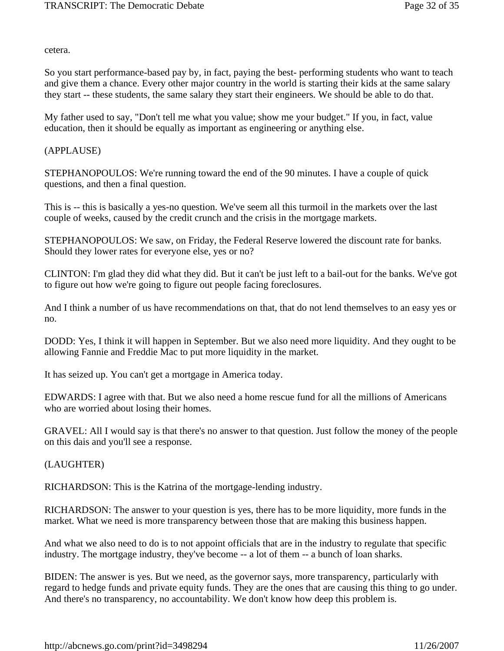cetera.

So you start performance-based pay by, in fact, paying the best- performing students who want to teach and give them a chance. Every other major country in the world is starting their kids at the same salary they start -- these students, the same salary they start their engineers. We should be able to do that.

My father used to say, "Don't tell me what you value; show me your budget." If you, in fact, value education, then it should be equally as important as engineering or anything else.

### (APPLAUSE)

STEPHANOPOULOS: We're running toward the end of the 90 minutes. I have a couple of quick questions, and then a final question.

This is -- this is basically a yes-no question. We've seem all this turmoil in the markets over the last couple of weeks, caused by the credit crunch and the crisis in the mortgage markets.

STEPHANOPOULOS: We saw, on Friday, the Federal Reserve lowered the discount rate for banks. Should they lower rates for everyone else, yes or no?

CLINTON: I'm glad they did what they did. But it can't be just left to a bail-out for the banks. We've got to figure out how we're going to figure out people facing foreclosures.

And I think a number of us have recommendations on that, that do not lend themselves to an easy yes or no.

DODD: Yes, I think it will happen in September. But we also need more liquidity. And they ought to be allowing Fannie and Freddie Mac to put more liquidity in the market.

It has seized up. You can't get a mortgage in America today.

EDWARDS: I agree with that. But we also need a home rescue fund for all the millions of Americans who are worried about losing their homes.

GRAVEL: All I would say is that there's no answer to that question. Just follow the money of the people on this dais and you'll see a response.

### (LAUGHTER)

RICHARDSON: This is the Katrina of the mortgage-lending industry.

RICHARDSON: The answer to your question is yes, there has to be more liquidity, more funds in the market. What we need is more transparency between those that are making this business happen.

And what we also need to do is to not appoint officials that are in the industry to regulate that specific industry. The mortgage industry, they've become -- a lot of them -- a bunch of loan sharks.

BIDEN: The answer is yes. But we need, as the governor says, more transparency, particularly with regard to hedge funds and private equity funds. They are the ones that are causing this thing to go under. And there's no transparency, no accountability. We don't know how deep this problem is.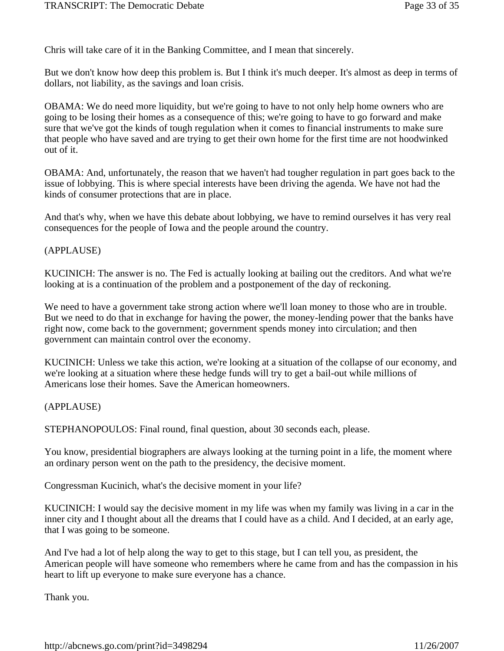Chris will take care of it in the Banking Committee, and I mean that sincerely.

But we don't know how deep this problem is. But I think it's much deeper. It's almost as deep in terms of dollars, not liability, as the savings and loan crisis.

OBAMA: We do need more liquidity, but we're going to have to not only help home owners who are going to be losing their homes as a consequence of this; we're going to have to go forward and make sure that we've got the kinds of tough regulation when it comes to financial instruments to make sure that people who have saved and are trying to get their own home for the first time are not hoodwinked out of it.

OBAMA: And, unfortunately, the reason that we haven't had tougher regulation in part goes back to the issue of lobbying. This is where special interests have been driving the agenda. We have not had the kinds of consumer protections that are in place.

And that's why, when we have this debate about lobbying, we have to remind ourselves it has very real consequences for the people of Iowa and the people around the country.

### (APPLAUSE)

KUCINICH: The answer is no. The Fed is actually looking at bailing out the creditors. And what we're looking at is a continuation of the problem and a postponement of the day of reckoning.

We need to have a government take strong action where we'll loan money to those who are in trouble. But we need to do that in exchange for having the power, the money-lending power that the banks have right now, come back to the government; government spends money into circulation; and then government can maintain control over the economy.

KUCINICH: Unless we take this action, we're looking at a situation of the collapse of our economy, and we're looking at a situation where these hedge funds will try to get a bail-out while millions of Americans lose their homes. Save the American homeowners.

### (APPLAUSE)

STEPHANOPOULOS: Final round, final question, about 30 seconds each, please.

You know, presidential biographers are always looking at the turning point in a life, the moment where an ordinary person went on the path to the presidency, the decisive moment.

Congressman Kucinich, what's the decisive moment in your life?

KUCINICH: I would say the decisive moment in my life was when my family was living in a car in the inner city and I thought about all the dreams that I could have as a child. And I decided, at an early age, that I was going to be someone.

And I've had a lot of help along the way to get to this stage, but I can tell you, as president, the American people will have someone who remembers where he came from and has the compassion in his heart to lift up everyone to make sure everyone has a chance.

Thank you.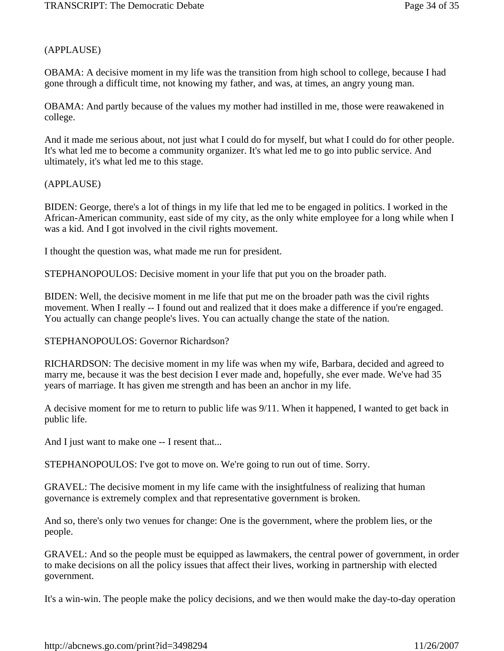### (APPLAUSE)

OBAMA: A decisive moment in my life was the transition from high school to college, because I had gone through a difficult time, not knowing my father, and was, at times, an angry young man.

OBAMA: And partly because of the values my mother had instilled in me, those were reawakened in college.

And it made me serious about, not just what I could do for myself, but what I could do for other people. It's what led me to become a community organizer. It's what led me to go into public service. And ultimately, it's what led me to this stage.

### (APPLAUSE)

BIDEN: George, there's a lot of things in my life that led me to be engaged in politics. I worked in the African-American community, east side of my city, as the only white employee for a long while when I was a kid. And I got involved in the civil rights movement.

I thought the question was, what made me run for president.

STEPHANOPOULOS: Decisive moment in your life that put you on the broader path.

BIDEN: Well, the decisive moment in me life that put me on the broader path was the civil rights movement. When I really -- I found out and realized that it does make a difference if you're engaged. You actually can change people's lives. You can actually change the state of the nation.

### STEPHANOPOULOS: Governor Richardson?

RICHARDSON: The decisive moment in my life was when my wife, Barbara, decided and agreed to marry me, because it was the best decision I ever made and, hopefully, she ever made. We've had 35 years of marriage. It has given me strength and has been an anchor in my life.

A decisive moment for me to return to public life was 9/11. When it happened, I wanted to get back in public life.

And I just want to make one -- I resent that...

STEPHANOPOULOS: I've got to move on. We're going to run out of time. Sorry.

GRAVEL: The decisive moment in my life came with the insightfulness of realizing that human governance is extremely complex and that representative government is broken.

And so, there's only two venues for change: One is the government, where the problem lies, or the people.

GRAVEL: And so the people must be equipped as lawmakers, the central power of government, in order to make decisions on all the policy issues that affect their lives, working in partnership with elected government.

It's a win-win. The people make the policy decisions, and we then would make the day-to-day operation